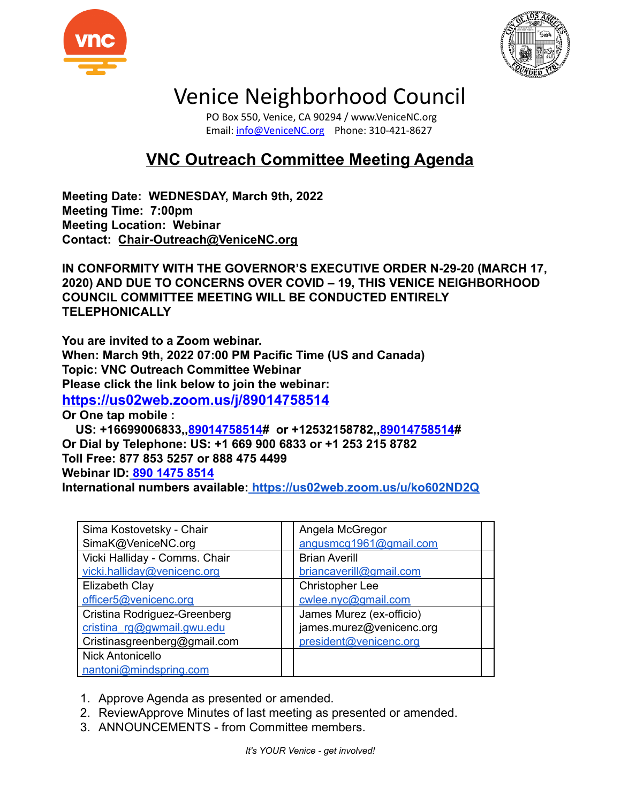



## Venice Neighborhood Council

PO Box 550, Venice, CA 90294 / www.VeniceNC.org Email: [info@VeniceNC.org](mailto:info@VeniceNC.org) Phone: 310-421-8627

## **VNC Outreach Committee Meeting Agenda**

**Meeting Date: WEDNESDAY, March 9th, 2022 Meeting Time: 7:00pm Meeting Location: Webinar Contact: [Chair-Outreach@VeniceNC.org](mailto:Chair-Outreach@VeniceNC.org)**

**IN CONFORMITY WITH THE GOVERNOR'S EXECUTIVE ORDER N-29-20 (MARCH 17, 2020) AND DUE TO CONCERNS OVER COVID – 19, THIS VENICE NEIGHBORHOOD COUNCIL COMMITTEE MEETING WILL BE CONDUCTED ENTIRELY TELEPHONICALLY**

**You are invited to a Zoom webinar. When: March 9th, 2022 07:00 PM Pacific Time (US and Canada) Topic: VNC Outreach Committee Webinar Please click the link below to join the webinar: <https://us02web.zoom.us/j/89014758514> Or One tap mobile :**

**US: +16699006833,,[89014758514](https://us02web.zoom.us/j/89014758514)# or +12532158782,,[89014758514](https://us02web.zoom.us/j/89014758514)# Or Dial by Telephone: US: +1 669 900 6833 or +1 253 215 8782 Toll Free: 877 853 5257 or 888 475 4499 Webinar ID: [890 1475 8514](https://us02web.zoom.us/j/89014758514) International numbers available: <https://us02web.zoom.us/u/ko602ND2Q>**

| Sima Kostovetsky - Chair      | Angela McGregor          |
|-------------------------------|--------------------------|
| SimaK@VeniceNC.org            | angusmcg1961@gmail.com   |
| Vicki Halliday - Comms. Chair | <b>Brian Averill</b>     |
| vicki.halliday@venicenc.org   | briancaverill@gmail.com  |
| Elizabeth Clay                | Christopher Lee          |
| officer5@venicenc.org         | cwlee.nyc@gmail.com      |
| Cristina Rodriguez-Greenberg  | James Murez (ex-officio) |
| cristina rg@gwmail.gwu.edu    | james.murez@venicenc.org |
| Cristinasgreenberg@gmail.com  | president@venicenc.org   |
| Nick Antonicello              |                          |
| nantoni@mindspring.com        |                          |

- 1. Approve Agenda as presented or amended.
- 2. ReviewApprove Minutes of last meeting as presented or amended.
- 3. ANNOUNCEMENTS from Committee members.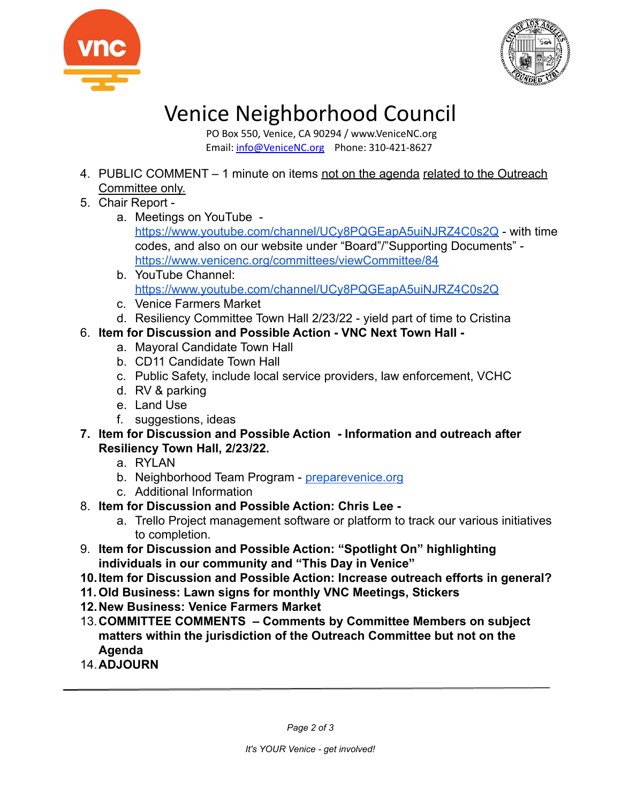



## Venice Neighborhood Council

PO Box 550, Venice, CA 90294 / www.VeniceNC.org Email: [info@VeniceNC.org](mailto:info@VeniceNC.org) Phone: 310-421-8627

- 4. PUBLIC COMMENT 1 minute on items not on the agenda related to the Outreach Committee only.
- 5. Chair Report
	- a. Meetings on YouTube -

<https://www.youtube.com/channel/UCy8PQGEapA5uiNJRZ4C0s2Q> - with time codes, and also on our website under "Board"/"Supporting Documents" <https://www.venicenc.org/committees/viewCommittee/84>

- b. YouTube Channel: <https://www.youtube.com/channel/UCy8PQGEapA5uiNJRZ4C0s2Q>
- c. Venice Farmers Market
- d. Resiliency Committee Town Hall 2/23/22 yield part of time to Cristina
- 6. **Item for Discussion and Possible Action VNC Next Town Hall** 
	- a. Mayoral Candidate Town Hall
	- b. CD11 Candidate Town Hall
	- c. Public Safety, include local service providers, law enforcement, VCHC
	- d. RV & parking
	- e. Land Use
	- f. suggestions, ideas
- **7. Item for Discussion and Possible Action Information and outreach after Resiliency Town Hall, 2/23/22.**
	- a. RYLAN
	- b. Neighborhood Team Program [preparevenice.org](https://www.preparevenice.org)
	- c. Additional Information
- 8. **Item for Discussion and Possible Action: Chris Lee** 
	- a. Trello Project management software or platform to track our various initiatives to completion.
- 9. **Item for Discussion and Possible Action: "Spotlight On" highlighting individuals in our community and "This Day in Venice"**
- **10.Item for Discussion and Possible Action: Increase outreach efforts in general?**
- **11. Old Business: Lawn signs for monthly VNC Meetings, Stickers**
- **12.New Business: Venice Farmers Market**
- 13.**COMMITTEE COMMENTS Comments by Committee Members on subject matters within the jurisdiction of the Outreach Committee but not on the Agenda**
- 14.**ADJOURN**